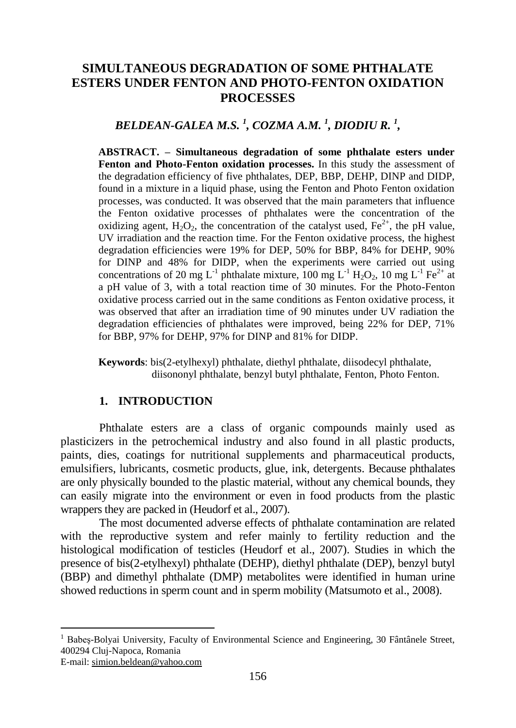# **SIMULTANEOUS DEGRADATION OF SOME PHTHALATE ESTERS UNDER FENTON AND PHOTO-FENTON OXIDATION PROCESSES**

## *BELDEAN-GALEA M.S. <sup>1</sup> , COZMA A.M. <sup>1</sup> , DIODIU R. <sup>1</sup> ,*

**ABSTRACT. – Simultaneous degradation of some phthalate esters under Fenton and Photo-Fenton oxidation processes.** In this study the assessment of the degradation efficiency of five phthalates, DEP, BBP, DEHP, DINP and DIDP, found in a mixture in a liquid phase, using the Fenton and Photo Fenton oxidation processes, was conducted. It was observed that the main parameters that influence the Fenton oxidative processes of phthalates were the concentration of the oxidizing agent,  $H_2O_2$ , the concentration of the catalyst used,  $Fe^{2+}$ , the pH value, UV irradiation and the reaction time. For the Fenton oxidative process, the highest degradation efficiencies were 19% for DEP, 50% for BBP, 84% for DEHP, 90% for DINP and 48% for DIDP, when the experiments were carried out using concentrations of 20 mg L<sup>-1</sup> phthalate mixture, 100 mg L<sup>-1</sup> H<sub>2</sub>O<sub>2</sub>, 10 mg L<sup>-1</sup> Fe<sup>2+</sup> at a pH value of 3, with a total reaction time of 30 minutes. For the Photo-Fenton oxidative process carried out in the same conditions as Fenton oxidative process, it was observed that after an irradiation time of 90 minutes under UV radiation the degradation efficiencies of phthalates were improved, being 22% for DEP, 71% for BBP, 97% for DEHP, 97% for DINP and 81% for DIDP.

**Keywords**: bis(2-etylhexyl) phthalate, diethyl phthalate, diisodecyl phthalate, diisononyl phthalate, benzyl butyl phthalate, Fenton, Photo Fenton.

## **1. INTRODUCTION**

Phthalate esters are a class of organic compounds mainly used as plasticizers in the petrochemical industry and also found in all plastic products, paints, dies, coatings for nutritional supplements and pharmaceutical products, emulsifiers, lubricants, cosmetic products, glue, ink, detergents. Because phthalates are only physically bounded to the plastic material, without any chemical bounds, they can easily migrate into the environment or even in food products from the plastic wrappers they are packed in (Heudorf et al., 2007).

The most documented adverse effects of phthalate contamination are related with the reproductive system and refer mainly to fertility reduction and the histological modification of testicles (Heudorf et al., 2007). Studies in which the presence of bis(2-etylhexyl) phthalate (DEHP), diethyl phthalate (DEP), benzyl butyl (BBP) and dimethyl phthalate (DMP) metabolites were identified in human urine showed reductions in sperm count and in sperm mobility (Matsumoto et al., 2008).

E-mail: simion.beldean@yahoo.com

 $\overline{a}$ 

<sup>&</sup>lt;sup>1</sup> Babes-Bolyai University, Faculty of Environmental Science and Engineering, 30 Fântânele Street, 400294 Cluj-Napoca, Romania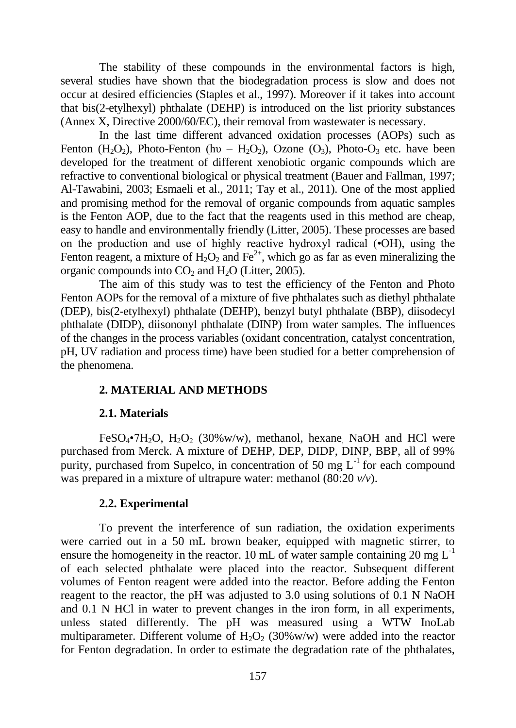The stability of these compounds in the environmental factors is high, several studies have shown that the biodegradation process is slow and does not occur at desired efficiencies (Staples et al., 1997). Moreover if it takes into account that bis(2-etylhexyl) phthalate (DEHP) is introduced on the list priority substances (Annex X, Directive 2000/60/EC), their removal from wastewater is necessary.

In the last time different advanced oxidation processes (AOPs) such as Fenton  $(H_2O_2)$ , Photo-Fenton (hv – H<sub>2</sub>O<sub>2</sub>), Ozone (O<sub>3</sub>), Photo-O<sub>3</sub> etc. have been developed for the treatment of different xenobiotic organic compounds which are refractive to conventional biological or physical treatment (Bauer and Fallman, 1997; Al-Tawabini, 2003; Esmaeli et al., 2011; Tay et al., 2011). One of the most applied and promising method for the removal of organic compounds from aquatic samples is the Fenton AOP, due to the fact that the reagents used in this method are cheap, easy to handle and environmentally friendly (Litter, 2005). These processes are based on the production and use of highly reactive hydroxyl radical (•OH), using the Fenton reagent, a mixture of  $H_2O_2$  and  $Fe^{2+}$ , which go as far as even mineralizing the organic compounds into  $CO<sub>2</sub>$  and  $H<sub>2</sub>O$  (Litter, 2005).

The aim of this study was to test the efficiency of the Fenton and Photo Fenton AOPs for the removal of a mixture of five phthalates such as diethyl phthalate (DEP), bis(2-etylhexyl) phthalate (DEHP), benzyl butyl phthalate (BBP), diisodecyl phthalate (DIDP), diisononyl phthalate (DINP) from water samples. The influences of the changes in the process variables (oxidant concentration, catalyst concentration, pH, UV radiation and process time) have been studied for a better comprehension of the phenomena.

## **2. MATERIAL AND METHODS**

#### **2.1. Materials**

FeSO<sub>4</sub>•7H<sub>2</sub>O, H<sub>2</sub>O<sub>2</sub> (30%w/w), methanol, hexane, NaOH and HCl were purchased from Merck. A mixture of DEHP, DEP, DIDP, DINP, BBP, all of 99% purity, purchased from Supelco, in concentration of 50 mg  $L^{-1}$  for each compound was prepared in a mixture of ultrapure water: methanol (80:20 *v/v*).

#### **2.2. Experimental**

To prevent the interference of sun radiation, the oxidation experiments were carried out in a 50 mL brown beaker, equipped with magnetic stirrer, to ensure the homogeneity in the reactor. 10 mL of water sample containing 20 mg  $L^{-1}$ of each selected phthalate were placed into the reactor. Subsequent different volumes of Fenton reagent were added into the reactor. Before adding the Fenton reagent to the reactor, the pH was adjusted to 3.0 using solutions of 0.1 N NaOH and 0.1 N HCl in water to prevent changes in the iron form, in all experiments, unless stated differently. The pH was measured using a WTW InoLab multiparameter. Different volume of  $H_2O_2$  (30%w/w) were added into the reactor for Fenton degradation. In order to estimate the degradation rate of the phthalates,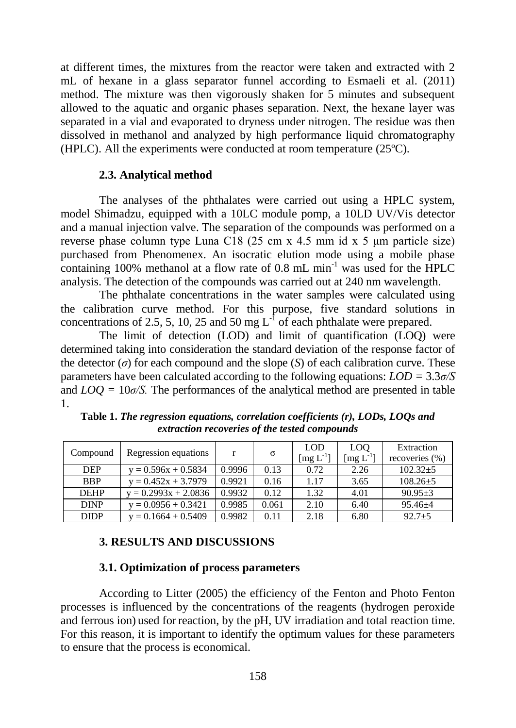at different times, the mixtures from the reactor were taken and extracted with 2 mL of hexane in a glass separator funnel according to Esmaeli et al. (2011) method. The mixture was then vigorously shaken for 5 minutes and subsequent allowed to the aquatic and organic phases separation. Next, the hexane layer was separated in a vial and evaporated to dryness under nitrogen. The residue was then dissolved in methanol and analyzed by high performance liquid chromatography (HPLC). All the experiments were conducted at room temperature (25ºC).

#### **2.3. Analytical method**

The analyses of the phthalates were carried out using a HPLC system, model Shimadzu, equipped with a 10LC module pomp, a 10LD UV/Vis detector and a manual injection valve. The separation of the compounds was performed on a reverse phase column type Luna C18 (25 cm x 4.5 mm id x 5 μm particle size) purchased from Phenomenex. An isocratic elution mode using a mobile phase containing 100% methanol at a flow rate of 0.8 mL min<sup>-1</sup> was used for the  $\hat{H}PLC$ analysis. The detection of the compounds was carried out at 240 nm wavelength.

The phthalate concentrations in the water samples were calculated using the calibration curve method. For this purpose, five standard solutions in concentrations of 2.5, 5, 10, 25 and 50 mg  $L^{-1}$  of each phthalate were prepared.

The limit of detection (LOD) and limit of quantification (LOQ) were determined taking into consideration the standard deviation of the response factor of the detector  $(\sigma)$  for each compound and the slope (*S*) of each calibration curve. These parameters have been calculated according to the following equations: *LOD =* 3.3*σ/S* and *LOQ =* 10*σ/S.* The performances of the analytical method are presented in table 1.

| Compound    | Regression equations   |        | $\sigma$ | LOD<br>$\text{Im} \Sigma^{-1}$ | LOO<br>$\left[\text{mg } L^{-1}\right]$ | Extraction<br>recoveries (%) |
|-------------|------------------------|--------|----------|--------------------------------|-----------------------------------------|------------------------------|
| <b>DEP</b>  | $y = 0.596x + 0.5834$  | 0.9996 | 0.13     | 0.72                           | 2.26                                    | $102.32 + 5$                 |
| BBP         | $y = 0.452x + 3.7979$  | 0.9921 | 0.16     | 1.17                           | 3.65                                    | $108.26 \pm 5$               |
| <b>DEHP</b> | $y = 0.2993x + 2.0836$ | 0.9932 | 0.12     | 1.32                           | 4.01                                    | $90.95 + 3$                  |
| <b>DINP</b> | $v = 0.0956 + 0.3421$  | 0.9985 | 0.061    | 2.10                           | 6.40                                    | $95.46 \pm 4$                |
| <b>DIDP</b> | $y = 0.1664 + 0.5409$  | 0.9982 | 0.11     | 2.18                           | 6.80                                    | $92.7 \pm 5$                 |

**Table 1.** *The regression equations, correlation coefficients (r), LODs, LOQs and extraction recoveries of the tested compounds*

## **3. RESULTS AND DISCUSSIONS**

### **3.1. Optimization of process parameters**

According to Litter (2005) the efficiency of the Fenton and Photo Fenton processes is influenced by the concentrations of the reagents (hydrogen peroxide and ferrous ion) used for reaction, by the pH, UV irradiation and total reaction time. For this reason, it is important to identify the optimum values for these parameters to ensure that the process is economical.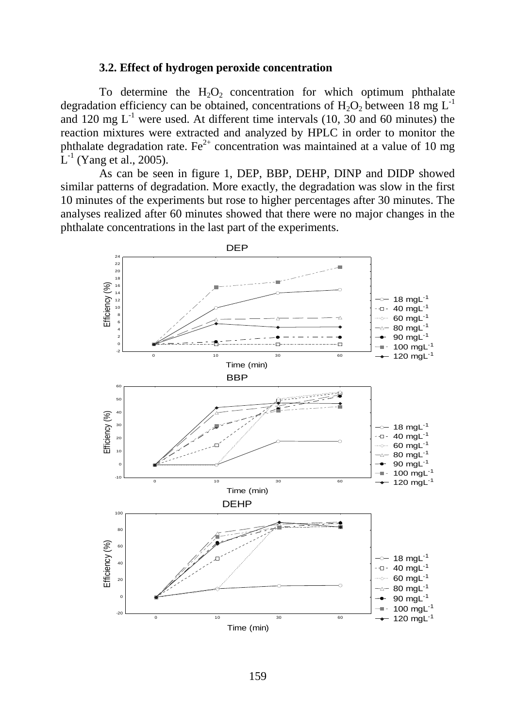### **3.2. Effect of hydrogen peroxide concentration**

To determine the  $H_2O_2$  concentration for which optimum phthalate degradation efficiency can be obtained, concentrations of H<sub>2</sub>O<sub>2</sub> between 18 mg L<sup>-1</sup> and 120 mg  $L^{-1}$  were used. At different time intervals (10, 30 and 60 minutes) the reaction mixtures were extracted and analyzed by HPLC in order to monitor the phthalate degradation rate.  $Fe^{2+}$  concentration was maintained at a value of 10 mg  $L^{-1}$  (Yang et al., 2005).

As can be seen in figure 1, DEP, BBP, DEHP, DINP and DIDP showed similar patterns of degradation. More exactly, the degradation was slow in the first 10 minutes of the experiments but rose to higher percentages after 30 minutes. The analyses realized after 60 minutes showed that there were no major changes in the phthalate concentrations in the last part of the experiments.

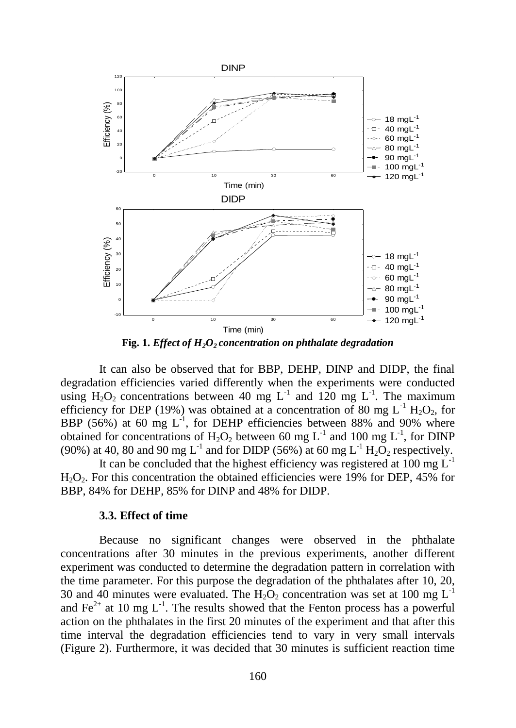

**Fig. 1.** *Effect of H2O2 concentration on phthalate degradation*

It can also be observed that for BBP, DEHP, DINP and DIDP, the final degradation efficiencies varied differently when the experiments were conducted using  $H_2O_2$  concentrations between 40 mg  $L^{-1}$  and 120 mg  $L^{-1}$ . The maximum efficiency for DEP (19%) was obtained at a concentration of 80 mg  $L^{-1}$  H<sub>2</sub>O<sub>2</sub>, for BBP (56%) at 60 mg  $L^{-1}$ , for DEHP efficiencies between 88% and 90% where obtained for concentrations of  $H_2O_2$  between 60 mg L<sup>-1</sup> and 100 mg L<sup>-1</sup>, for DINP (90%) at 40, 80 and 90 mg L<sup>-1</sup> and for DIDP (56%) at 60 mg L<sup>-1</sup> H<sub>2</sub>O<sub>2</sub> respectively.

It can be concluded that the highest efficiency was registered at 100 mg  $L^{-1}$ H<sub>2</sub>O<sub>2</sub>. For this concentration the obtained efficiencies were 19% for DEP, 45% for BBP, 84% for DEHP, 85% for DINP and 48% for DIDP.

#### **3.3. Effect of time**

Because no significant changes were observed in the phthalate concentrations after 30 minutes in the previous experiments, another different experiment was conducted to determine the degradation pattern in correlation with the time parameter. For this purpose the degradation of the phthalates after 10, 20, 30 and 40 minutes were evaluated. The  $H_2O_2$  concentration was set at 100 mg L<sup>-1</sup> and  $\text{Fe}^{2+}$  at 10 mg L<sup>-1</sup>. The results showed that the Fenton process has a powerful action on the phthalates in the first 20 minutes of the experiment and that after this time interval the degradation efficiencies tend to vary in very small intervals (Figure 2). Furthermore, it was decided that 30 minutes is sufficient reaction time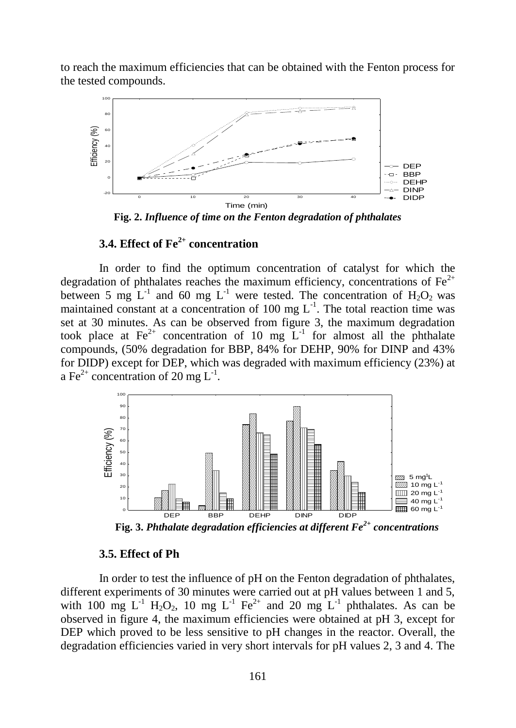to reach the maximum efficiencies that can be obtained with the Fenton process for the tested compounds.



**Fig. 2.** *Influence of time on the Fenton degradation of phthalates*

# **3.4. Effect of Fe2+ concentration**

In order to find the optimum concentration of catalyst for which the degradation of phthalates reaches the maximum efficiency, concentrations of  $Fe^{2+}$ between 5 mg  $L^{-1}$  and 60 mg  $L^{-1}$  were tested. The concentration of  $H_2O_2$  was maintained constant at a concentration of 100 mg  $L^{-1}$ . The total reaction time was set at 30 minutes. As can be observed from figure 3, the maximum degradation took place at Fe<sup>2+</sup> concentration of 10 mg  $L^{-1}$  for almost all the phthalate compounds, (50% degradation for BBP, 84% for DEHP, 90% for DINP and 43% for DIDP) except for DEP, which was degraded with maximum efficiency (23%) at a Fe<sup>2+</sup> concentration of 20 mg  $L^{-1}$ .



**Fig. 3.** *Phthalate degradation efficiencies at different Fe2+ concentrations*

#### **3.5. Effect of Ph**

In order to test the influence of pH on the Fenton degradation of phthalates, different experiments of 30 minutes were carried out at pH values between 1 and 5, with 100 mg  $L^{-1}$  H<sub>2</sub>O<sub>2</sub>, 10 mg  $L^{-1}$  Fe<sup>2+</sup> and 20 mg  $L^{-1}$  phthalates. As can be observed in figure 4, the maximum efficiencies were obtained at pH 3, except for DEP which proved to be less sensitive to pH changes in the reactor. Overall, the degradation efficiencies varied in very short intervals for pH values 2, 3 and 4. The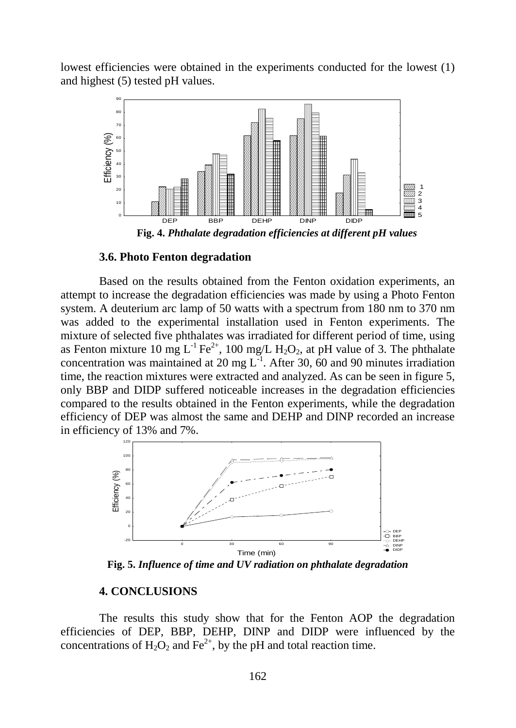lowest efficiencies were obtained in the experiments conducted for the lowest (1) and highest (5) tested pH values.



**Fig. 4.** *Phthalate degradation efficiencies at different pH values*

#### **3.6. Photo Fenton degradation**

Based on the results obtained from the Fenton oxidation experiments, an attempt to increase the degradation efficiencies was made by using a Photo Fenton system. A deuterium arc lamp of 50 watts with a spectrum from 180 nm to 370 nm was added to the experimental installation used in Fenton experiments. The mixture of selected five phthalates was irradiated for different period of time, using as Fenton mixture 10 mg  $L^{-1}$  Fe<sup>2+</sup>, 100 mg/L H<sub>2</sub>O<sub>2</sub>, at pH value of 3. The phthalate concentration was maintained at 20 mg  $L^{-1}$ . After 30, 60 and 90 minutes irradiation time, the reaction mixtures were extracted and analyzed. As can be seen in figure 5, only BBP and DIDP suffered noticeable increases in the degradation efficiencies compared to the results obtained in the Fenton experiments, while the degradation efficiency of DEP was almost the same and DEHP and DINP recorded an increase in efficiency of 13% and 7%.



**Fig. 5.** *Influence of time and UV radiation on phthalate degradation*

## **4. CONCLUSIONS**

The results this study show that for the Fenton AOP the degradation efficiencies of DEP, BBP, DEHP, DINP and DIDP were influenced by the concentrations of  $H_2O_2$  and  $Fe^{2+}$ , by the pH and total reaction time.